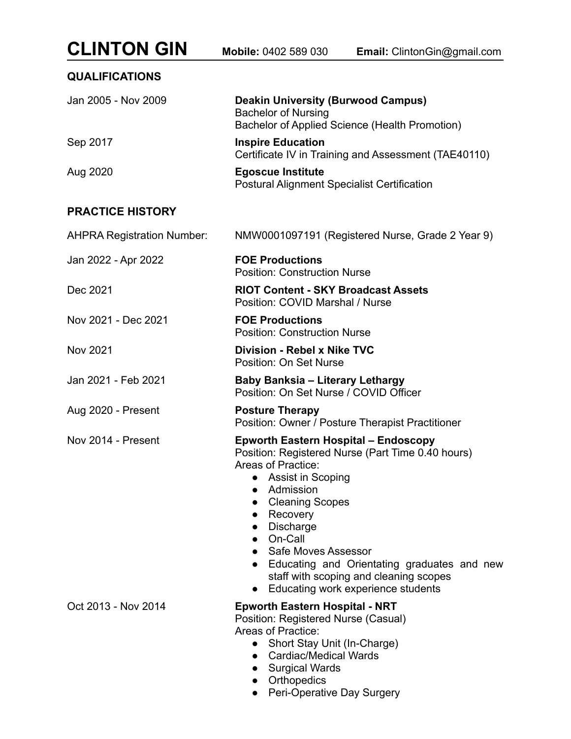| <b>CLINTON GIN</b>                | Mobile: 0402 589 030<br>Email: ClintonGin@gmail.com                                                                                                                                                                                                                                                                                                                                                                         |
|-----------------------------------|-----------------------------------------------------------------------------------------------------------------------------------------------------------------------------------------------------------------------------------------------------------------------------------------------------------------------------------------------------------------------------------------------------------------------------|
| <b>QUALIFICATIONS</b>             |                                                                                                                                                                                                                                                                                                                                                                                                                             |
| Jan 2005 - Nov 2009               | <b>Deakin University (Burwood Campus)</b><br><b>Bachelor of Nursing</b><br>Bachelor of Applied Science (Health Promotion)                                                                                                                                                                                                                                                                                                   |
| Sep 2017                          | <b>Inspire Education</b><br>Certificate IV in Training and Assessment (TAE40110)                                                                                                                                                                                                                                                                                                                                            |
| Aug 2020                          | <b>Egoscue Institute</b><br><b>Postural Alignment Specialist Certification</b>                                                                                                                                                                                                                                                                                                                                              |
| <b>PRACTICE HISTORY</b>           |                                                                                                                                                                                                                                                                                                                                                                                                                             |
| <b>AHPRA Registration Number:</b> | NMW0001097191 (Registered Nurse, Grade 2 Year 9)                                                                                                                                                                                                                                                                                                                                                                            |
| Jan 2022 - Apr 2022               | <b>FOE Productions</b><br><b>Position: Construction Nurse</b>                                                                                                                                                                                                                                                                                                                                                               |
| Dec 2021                          | <b>RIOT Content - SKY Broadcast Assets</b><br>Position: COVID Marshal / Nurse                                                                                                                                                                                                                                                                                                                                               |
| Nov 2021 - Dec 2021               | <b>FOE Productions</b><br><b>Position: Construction Nurse</b>                                                                                                                                                                                                                                                                                                                                                               |
| <b>Nov 2021</b>                   | <b>Division - Rebel x Nike TVC</b><br><b>Position: On Set Nurse</b>                                                                                                                                                                                                                                                                                                                                                         |
| Jan 2021 - Feb 2021               | <b>Baby Banksia - Literary Lethargy</b><br>Position: On Set Nurse / COVID Officer                                                                                                                                                                                                                                                                                                                                           |
| Aug 2020 - Present                | <b>Posture Therapy</b><br>Position: Owner / Posture Therapist Practitioner                                                                                                                                                                                                                                                                                                                                                  |
| Nov 2014 - Present                | <b>Epworth Eastern Hospital - Endoscopy</b><br>Position: Registered Nurse (Part Time 0.40 hours)<br>Areas of Practice:<br>Assist in Scoping<br>Admission<br>$\bullet$<br><b>Cleaning Scopes</b><br>$\bullet$<br>• Recovery<br>Discharge<br>• On-Call<br>• Safe Moves Assessor<br>• Educating and Orientating graduates and new<br>staff with scoping and cleaning scopes<br>Educating work experience students<br>$\bullet$ |
| Oct 2013 - Nov 2014               | <b>Epworth Eastern Hospital - NRT</b><br>Position: Registered Nurse (Casual)<br>Areas of Practice:<br>• Short Stay Unit (In-Charge)<br>• Cardiac/Medical Wards<br>• Surgical Wards<br>• Orthopedics<br>Peri-Operative Day Surgery<br>$\bullet$                                                                                                                                                                              |